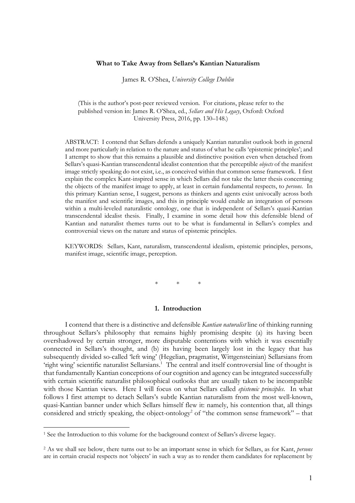#### **What to Take Away from Sellars's Kantian Naturalism**

James R. O'Shea, *University College Dublin*

(This is the author's post-peer reviewed version. For citations, please refer to the published version in: James R. O'Shea, ed., *Sellars and His Legacy*, Oxford: Oxford University Press, 2016, pp. 130–148.)

ABSTRACT: I contend that Sellars defends a uniquely Kantian naturalist outlook both in general and more particularly in relation to the nature and status of what he calls 'epistemic principles'; and I attempt to show that this remains a plausible and distinctive position even when detached from Sellars's quasi-Kantian transcendental idealist contention that the perceptible *objects* of the manifest image strictly speaking do not exist, i.e., as conceived within that common sense framework. I first explain the complex Kant-inspired sense in which Sellars did not take the latter thesis concerning the objects of the manifest image to apply, at least in certain fundamental respects, to *persons*. In this primary Kantian sense, I suggest, persons as thinkers and agents exist univocally across both the manifest and scientific images, and this in principle would enable an integration of persons within a multi-leveled naturalistic ontology, one that is independent of Sellars's quasi-Kantian transcendental idealist thesis. Finally, I examine in some detail how this defensible blend of Kantian and naturalist themes turns out to be what is fundamental in Sellars's complex and controversial views on the nature and status of epistemic principles.

KEYWORDS: Sellars, Kant, naturalism, transcendental idealism, epistemic principles, persons, manifest image, scientific image, perception.

\* \* \*

#### **1. Introduction**

I contend that there is a distinctive and defensible *Kantian naturalist* line of thinking running throughout Sellars's philosophy that remains highly promising despite (a) its having been overshadowed by certain stronger, more disputable contentions with which it was essentially connected in Sellars's thought, and (b) its having been largely lost in the legacy that has subsequently divided so-called 'left wing' (Hegelian, pragmatist, Wittgensteinian) Sellarsians from 'right wing' scientific naturalist Sellarsians.<sup>1</sup> The central and itself controversial line of thought is that fundamentally Kantian conceptions of our cognition and agency can be integrated successfully with certain scientific naturalist philosophical outlooks that are usually taken to be incompatible with those Kantian views. Here I will focus on what Sellars called *epistemic principles*. In what follows I first attempt to detach Sellars's subtle Kantian naturalism from the most well-known, quasi-Kantian banner under which Sellars himself flew it: namely, his contention that, all things considered and strictly speaking, the object-ontology<sup>2</sup> of "the common sense framework" – that

<sup>1</sup> See the Introduction to this volume for the background context of Sellars's diverse legacy.

<sup>2</sup> As we shall see below, there turns out to be an important sense in which for Sellars, as for Kant, *persons* are in certain crucial respects not 'objects' in such a way as to render them candidates for replacement by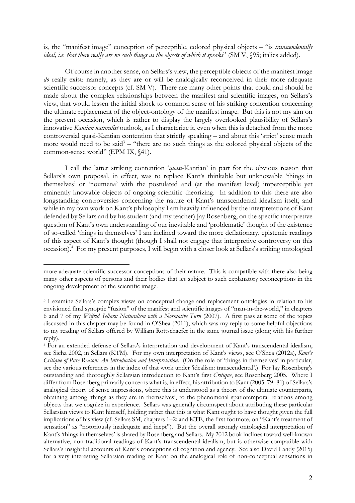is, the "manifest image" conception of perceptible, colored physical objects – "is *transcendentally ideal, i.e. that there really are no such things as the objects of which it speaks*" (SM V, §95; italics added).

Of course in another sense, on Sellars's view, the perceptible objects of the manifest image *do* really exist: namely, as they are or will be analogically reconceived in their more adequate scientific successor concepts (cf. SM V). There are many other points that could and should be made about the complex relationships between the manifest and scientific images, on Sellars's view, that would lessen the initial shock to common sense of his striking contention concerning the ultimate replacement of the object-ontology of the manifest image. But this is not my aim on the present occasion, which is rather to display the largely overlooked plausibility of Sellars's innovative *Kantian naturalist* outlook, as I characterize it, even when this is detached from the more controversial quasi-Kantian contention that strictly speaking – and about this 'strict' sense much more would need to be said<sup>3</sup> – "there are no such things as the colored physical objects of the common-sense world" (EPM IX, §41).

I call the latter striking contention '*quasi*-Kantian' in part for the obvious reason that Sellars's own proposal, in effect, was to replace Kant's thinkable but unknowable 'things in themselves' or 'noumena' with the postulated and (at the manifest level) imperceptible yet eminently knowable objects of ongoing scientific theorizing. In addition to this there are also longstanding controversies concerning the nature of Kant's transcendental idealism itself, and while in my own work on Kant's philosophy I am heavily influenced by the interpretations of Kant defended by Sellars and by his student (and my teacher) Jay Rosenberg, on the specific interpretive question of Kant's own understanding of our inevitable and 'problematic' thought of the existence of so-called 'things in themselves' I am inclined toward the more deflationary, epistemic readings of this aspect of Kant's thought (though I shall not engage that interpretive controversy on this occasion). 4 For my present purposes, I will begin with a closer look at Sellars's striking ontological

more adequate scientific successor conceptions of their nature. This is compatible with there also being many other aspects of persons and their bodies that *are* subject to such explanatory reconceptions in the ongoing development of the scientific image.

<sup>3</sup> I examine Sellars's complex views on conceptual change and replacement ontologies in relation to his envisioned final synoptic "fusion" of the manifest and scientific images of "man-in-the-world," in chapters 6 and 7 of my *Wilfrid Sellars: Naturalism with a Normative Turn* (2007). A first pass at some of the topics discussed in this chapter may be found in O'Shea (2011), which was my reply to some helpful objections to my reading of Sellars offered by William Rottschaefer in the same journal issue (along with his further reply).

<sup>4</sup> For an extended defense of Sellars's interpretation and development of Kant's transcendental idealism, see Sicha 2002, in Sellars (KTM). For my own interpretation of Kant's views, see O'Shea (2012a), *Kant's Critique of Pure Reason: An Introduction and Interpretation*. (On the role of 'things in themselves' in particular, see the various references in the index of that work under 'idealism: transcendental'.) For Jay Rosenberg's outstanding and thoroughly Sellarsian introduction to Kant's first *Critique*, see Rosenberg 2005. Where I differ from Rosenberg primarily concerns what is, in effect, his attribution to Kant (2005: 79–81) of Sellars's analogical theory of sense impressions, where this is understood as a theory of the ultimate counterparts, obtaining among 'things as they are in themselves', to the phenomenal spatiotemporal relations among objects that we cognize in experience. Sellars was generally circumspect about attributing these particular Sellarsian views to Kant himself, holding rather that this is what Kant ought to have thought given the full implications of his view (cf. Sellars SM, chapters 1–2; and KTE, the first footnote, on "Kant's treatment of sensation" as "notoriously inadequate and inept"). But the overall strongly ontological interpretation of Kant's 'things in themselves' is shared by Rosenberg and Sellars. My 2012 book inclines toward well-known alternative, non-traditional readings of Kant's transcendental idealism, but is otherwise compatible with Sellars's insightful accounts of Kant's conceptions of cognition and agency. See also David Landy (2015) for a very interesting Sellarsian reading of Kant on the analogical role of non-conceptual sensations in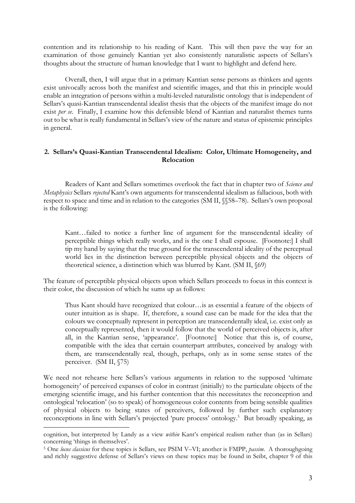contention and its relationship to his reading of Kant. This will then pave the way for an examination of those genuinely Kantian yet also consistently naturalistic aspects of Sellars's thoughts about the structure of human knowledge that I want to highlight and defend here.

Overall, then, I will argue that in a primary Kantian sense persons as thinkers and agents exist univocally across both the manifest and scientific images, and that this in principle would enable an integration of persons within a multi-leveled naturalistic ontology that is independent of Sellars's quasi-Kantian transcendental idealist thesis that the objects of the manifest image do not exist *per se*. Finally, I examine how this defensible blend of Kantian and naturalist themes turns out to be what is really fundamental in Sellars's view of the nature and status of epistemic principles in general.

# **2. Sellars's Quasi-Kantian Transcendental Idealism: Color, Ultimate Homogeneity, and Relocation**

Readers of Kant and Sellars sometimes overlook the fact that in chapter two of *Science and Metaphysics* Sellars *rejected* Kant's own arguments for transcendental idealism as fallacious, both with respect to space and time and in relation to the categories (SM II,  $\{\$58-78\}$ ). Sellars's own proposal is the following:

Kant…failed to notice a further line of argument for the transcendental ideality of perceptible things which really works, and is the one I shall espouse. [Footnote:] I shall tip my hand by saying that the true ground for the transcendental ideality of the perceptual world lies in the distinction between perceptible physical objects and the objects of theoretical science, a distinction which was blurred by Kant. (SM II, §69)

The feature of perceptible physical objects upon which Sellars proceeds to focus in this context is their color, the discussion of which he sums up as follows:

Thus Kant should have recognized that colour…is as essential a feature of the objects of outer intuition as is shape. If, therefore, a sound case can be made for the idea that the colours we conceptually represent in perception are transcendentally ideal, i.e. exist only as conceptually represented, then it would follow that the world of perceived objects is, after all, in the Kantian sense, 'appearance'. [Footnote:] Notice that this is, of course, compatible with the idea that certain counterpart attributes, conceived by analogy with them, are transcendentally real, though, perhaps, only as in some sense states of the perceiver. (SM II, §75)

We need not rehearse here Sellars's various arguments in relation to the supposed 'ultimate homogeneity' of perceived expanses of color in contrast (initially) to the particulate objects of the emerging scientific image, and his further contention that this necessitates the reconception and ontological 'relocation' (so to speak) of homogeneous color contents from being sensible qualities of physical objects to being states of perceivers, followed by further such explanatory reconceptions in line with Sellars's projected 'pure process' ontology.<sup>5</sup> But broadly speaking, as

cognition, but interpreted by Landy as a view *within* Kant's empirical realism rather than (as in Sellars) concerning 'things in themselves'.

<sup>5</sup> One *locus classicus* for these topics is Sellars, see PSIM V–VI; another is FMPP, *passim*. A thoroughgoing and richly suggestive defense of Sellars's views on these topics may be found in Seibt, chapter 9 of this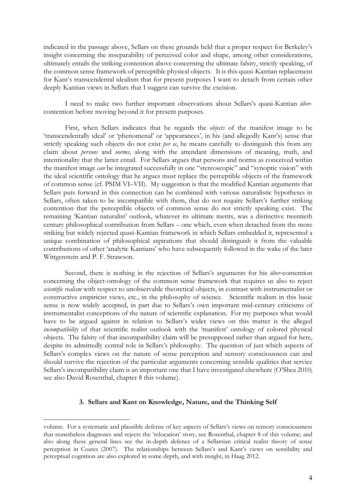indicated in the passage above, Sellars on these grounds held that a proper respect for Berkeley's insight concerning the inseparability of perceived color and shape, among other considerations, ultimately entails the striking contention above concerning the ultimate falsity, strictly speaking, of the common sense framework of perceptible physical objects. It is this quasi-Kantian replacement for Kant's transcendental idealism that for present purposes I want to detach from certain other deeply Kantian views in Sellars that I suggest can survive the excision.

I need to make two further important observations about Sellars's quasi-Kantian *über*contention before moving beyond it for present purposes.

First, when Sellars indicates that he regards the *objects* of the manifest image to be 'transcendentally ideal' or 'phenomenal' or 'appearances', in his (and allegedly Kant's) sense that strictly speaking such objects do not exist *per se*, he means carefully to distinguish this from any claim about *persons* and *norms*, along with the attendant dimensions of meaning, truth, and intentionality that the latter entail. For Sellars argues that persons and norms as conceived within the manifest image *can* be integrated successfully in one "stereoscopic" and "synoptic vision" with the ideal scientific ontology that he argues must replace the perceptible objects of the framework of common sense (cf. PSIM VI–VII). My suggestion is that the modified Kantian arguments that Sellars puts forward in this connection can be combined with various naturalistic hypotheses in Sellars, often taken to be incompatible with them, that do not require Sellars's further striking contention that the perceptible objects of common sense do not strictly speaking exist. The remaining 'Kantian naturalist' outlook, whatever its ultimate merits, was a distinctive twentieth century philosophical contribution from Sellars – one which, even when detached from the more striking but widely rejected quasi-Kantian framework in which Sellars embedded it, represented a unique combination of philosophical aspirations that should distinguish it from the valuable contributions of other 'analytic Kantians' who have subsequently followed in the wake of the later Wittgenstein and P. F. Strawson.

Second, there is nothing in the rejection of Sellars's arguments for his *über*-contention concerning the object-ontology of the common sense framework that requires us also to reject *scientific realism* with respect to unobservable theoretical objects, in contrast with instrumentalist or constructive empiricist views, etc., in the philosophy of science. Scientific realism in this basic sense is now widely accepted, in part due to Sellars's own important mid-century criticisms of instrumentalist conceptions of the nature of scientific explanation. For my purposes what would have to be argued against in relation to Sellars's wider views on this matter is the alleged *incompatibility* of that scientific realist outlook with the 'manifest' ontology of colored physical objects. The falsity of that incompatibility claim will be presupposed rather than argued for here, despite its admittedly central role in Sellars's philosophy. The question of just which aspects of Sellars's complex views on the nature of sense perception and sensory consciousness can and should survive the rejection of the particular arguments concerning sensible qualities that service Sellars's incompatibility claim is an important one that I have investigated elsewhere (O'Shea 2010; see also David Rosenthal, chapter 8 this volume).

## **3. Sellars and Kant on Knowledge, Nature, and the Thinking Self**

volume. For a systematic and plausible defense of key aspects of Sellars's views on sensory consciousness that nonetheless diagnoses and rejects the 'relocation' story, see Rosenthal, chapter 8 of this volume; and also along these general lines see the in-depth defence of a Sellarsian critical realist theory of sense perception in Coates (2007). The relationships between Sellars's and Kant's views on sensibility and perceptual cognition are also explored in some depth, and with insight, in Haag 2012.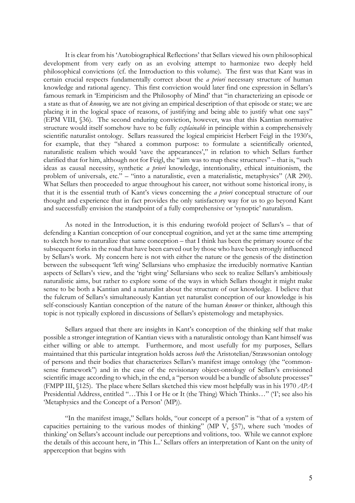It is clear from his 'Autobiographical Reflections' that Sellars viewed his own philosophical development from very early on as an evolving attempt to harmonize two deeply held philosophical convictions (cf. the Introduction to this volume). The first was that Kant was in certain crucial respects fundamentally correct about the *a priori* necessary structure of human knowledge and rational agency. This first conviction would later find one expression in Sellars's famous remark in 'Empiricism and the Philosophy of Mind' that "in characterizing an episode or a state as that of *knowing*, we are not giving an empirical description of that episode or state; we are placing it in the logical space of reasons, of justifying and being able to justify what one says" (EPM VIII, §36). The second enduring conviction, however, was that this Kantian normative structure would itself somehow have to be fully *explainable* in principle within a comprehensively scientific naturalist ontology. Sellars reassured the logical empiricist Herbert Feigl in the 1930's, for example, that they "shared a common purpose: to formulate a scientifically oriented, naturalistic realism which would 'save the appearances'," in relation to which Sellars further clarified that for him, although not for Feigl, the "aim was to map these structures" – that is, "such ideas as causal necessity, synthetic *a priori* knowledge, intentionality, ethical intuitionism, the problem of universals, etc." – "into a naturalistic, even a materialistic, metaphysics" (AR 290). What Sellars then proceeded to argue throughout his career, not without some historical irony, is that it is the essential truth of Kant's views concerning the *a priori* conceptual structure of our thought and experience that in fact provides the only satisfactory way for us to go beyond Kant and successfully envision the standpoint of a fully comprehensive or 'synoptic' naturalism.

As noted in the Introduction, it is this enduring twofold project of Sellars's – that of defending a Kantian conception of our conceptual cognition, and yet at the same time attempting to sketch how to naturalize that same conception – that I think has been the primary source of the subsequent forks in the road that have been carved out by those who have been strongly influenced by Sellars's work. My concern here is not with either the nature or the genesis of the distinction between the subsequent 'left wing' Sellarsians who emphasize the irreducibly normative Kantian aspects of Sellars's view, and the 'right wing' Sellarsians who seek to realize Sellars's ambitiously naturalistic aims, but rather to explore some of the ways in which Sellars thought it might make sense to be both a Kantian and a naturalist about the structure of our knowledge. I believe that the fulcrum of Sellars's simultaneously Kantian yet naturalist conception of our knowledge is his self-consciously Kantian conception of the nature of the human *knower* or thinker, although this topic is not typically explored in discussions of Sellars's epistemology and metaphysics.

Sellars argued that there are insights in Kant's conception of the thinking self that make possible a stronger integration of Kantian views with a naturalistic ontology than Kant himself was either willing or able to attempt. Furthermore, and most usefully for my purposes, Sellars maintained that this particular integration holds across *both* the Aristotelian/Strawsonian ontology of persons and their bodies that characterizes Sellars's manifest image ontology (the "commonsense framework") and in the case of the revisionary object-ontology of Sellars's envisioned scientific image according to which, in the end, a "person would be a bundle of absolute processes" (FMPP III, §125). The place where Sellars sketched this view most helpfully was in his 1970 *APA* Presidential Address, entitled "…This I or He or It (the Thing) Which Thinks…" ('I'; see also his 'Metaphysics and the Concept of a Person' (MP)).

"In the manifest image," Sellars holds, "our concept of a person" is "that of a system of capacities pertaining to the various modes of thinking" (MP V, §57), where such 'modes of thinking' on Sellars's account include our perceptions and volitions, too. While we cannot explore the details of this account here, in 'This I...' Sellars offers an interpretation of Kant on the unity of apperception that begins with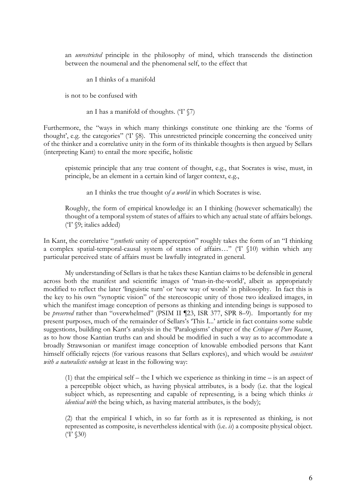an *unrestricted* principle in the philosophy of mind, which transcends the distinction between the noumenal and the phenomenal self, to the effect that

an I thinks of a manifold

is not to be confused with

an I has a manifold of thoughts.  $(T \, \mathcal{S})$ 

Furthermore, the "ways in which many thinkings constitute one thinking are the 'forms of thought', e.g. the categories" ( $T$   $\&$ 8). This unrestricted principle concerning the conceived unity of the thinker and a correlative unity in the form of its thinkable thoughts is then argued by Sellars (interpreting Kant) to entail the more specific, holistic

epistemic principle that any true content of thought, e.g., that Socrates is wise, must, in principle, be an element in a certain kind of larger context, e.g.,

an I thinks the true thought o*f a world* in which Socrates is wise.

Roughly, the form of empirical knowledge is: an I thinking (however schematically) the thought of a temporal system of states of affairs to which any actual state of affairs belongs. ('I' §9; italics added)

In Kant, the correlative "*synthetic* unity of apperception" roughly takes the form of an "I thinking a complex spatial-temporal-causal system of states of affairs…" ('I' §10) within which any particular perceived state of affairs must be lawfully integrated in general.

My understanding of Sellars is that he takes these Kantian claims to be defensible in general across both the manifest and scientific images of 'man-in-the-world', albeit as appropriately modified to reflect the later 'linguistic turn' or 'new way of words' in philosophy. In fact this is the key to his own "synoptic vision" of the stereoscopic unity of those two idealized images, in which the manifest image conception of persons as thinking and intending beings is supposed to be *preserved* rather than "overwhelmed" (PSIM II ¶23, ISR 377, SPR 8–9). Importantly for my present purposes, much of the remainder of Sellars's 'This I...' article in fact contains some subtle suggestions, building on Kant's analysis in the 'Paralogisms' chapter of the *Critique of Pure Reason*, as to how those Kantian truths can and should be modified in such a way as to accommodate a broadly Strawsonian or manifest image conception of knowable embodied persons that Kant himself officially rejects (for various reasons that Sellars explores), and which would be *consistent with a naturalistic ontology* at least in the following way:

(1) that the empirical self – the I which we experience as thinking in time – is an aspect of a perceptible object which, as having physical attributes, is a body (i.e. that the logical subject which, as representing and capable of representing, is a being which thinks *is identical with* the being which, as having material attributes, is the body);

(2) that the empirical I which, in so far forth as it is represented as thinking, is not represented as composite, is nevertheless identical with (i.e. *is*) a composite physical object. ('I' §30)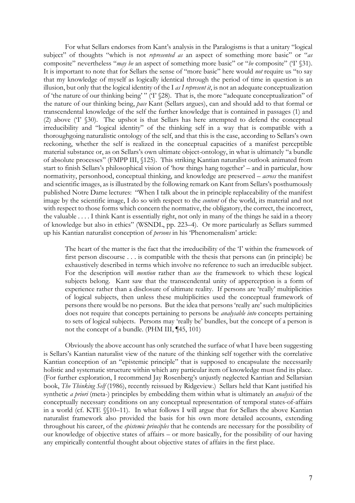For what Sellars endorses from Kant's analysis in the Paralogisms is that a unitary "logical subject" of thoughts "which is not *represented as* an aspect of something more basic" or "*as* composite" nevertheless "*may be* an aspect of something more basic" or "*be* composite" ('I' §31). It is important to note that for Sellars the sense of "more basic" here would *not* require us "to say that my knowledge of myself as logically identical through the period of time in question is an illusion, but only that the logical identity of the I *as I represent it*, is not an adequate conceptualization of 'the nature of our thinking being' " ('I' §28). That is, the more "adequate conceptualization" of the nature of our thinking being, *pace* Kant (Sellars argues), can and should add to that formal or transcendental knowledge of the self the further knowledge that is contained in passages (1) and (2) above ('I' §30). The upshot is that Sellars has here attempted to defend the conceptual irreducibility and "logical identity" of the thinking self in a way that is compatible with a thoroughgoing naturalistic ontology of the self, and that this is the case, according to Sellars's own reckoning, whether the self is realized in the conceptual capacities of a manifest perceptible material substance or, as on Sellars's own ultimate object-ontology, in what is ultimately "a bundle of absolute processes" (FMPP III, §125). This striking Kantian naturalist outlook animated from start to finish Sellars's philosophical vision of 'how things hang together' – and in particular, how normativity, personhood, conceptual thinking, and knowledge are preserved – *across* the manifest and scientific images, as is illustrated by the following remark on Kant from Sellars's posthumously published Notre Dame lectures: "When I talk about the in principle replaceability of the manifest image by the scientific image, I do so with respect to the *content* of the world, its material and not with respect to those forms which concern the normative, the obligatory, the correct, the incorrect, the valuable . . . . I think Kant is essentially right, not only in many of the things he said in a theory of knowledge but also in ethics" (WSNDL, pp. 223–4). Or more particularly as Sellars summed up his Kantian naturalist conception of *persons* in his 'Phenomenalism' article:

The heart of the matter is the fact that the irreducibility of the 'I' within the framework of first person discourse . . . is compatible with the thesis that persons can (in principle) be exhaustively described in terms which involve no reference to such an irreducible subject. For the description will *mention* rather than *use* the framework to which these logical subjects belong. Kant saw that the transcendental unity of apperception is a form of experience rather than a disclosure of ultimate reality. If persons are 'really' multiplicities of logical subjects, then unless these multiplicities used the conceptual framework of persons there would be no persons. But the idea that persons 'really are' such multiplicities does not require that concepts pertaining to persons be *analysable into* concepts pertaining to sets of logical subjects. Persons may 'really be' bundles, but the concept of a person is not the concept of a bundle. (PHM III, ¶45, 101)

Obviously the above account has only scratched the surface of what I have been suggesting is Sellars's Kantian naturalist view of the nature of the thinking self together with the correlative Kantian conception of an "epistemic principle" that is supposed to encapsulate the necessarily holistic and systematic structure within which any particular item of knowledge must find its place. (For further exploration, I recommend Jay Rosenberg's unjustly neglected Kantian and Sellarsian book, *The Thinking Self* (1986), recently reissued by Ridgeview.) Sellars held that Kant justified his synthetic *a priori* (meta-) principles by embedding them within what is ultimately an *analysis* of the conceptually necessary conditions on any conceptual representation of temporal states-of-affairs in a world (cf. KTE §§10–11). In what follows I will argue that for Sellars the above Kantian naturalist framework also provided the basis for his own more detailed accounts, extending throughout his career, of the *epistemic principles* that he contends are necessary for the possibility of our knowledge of objective states of affairs – or more basically, for the possibility of our having any empirically contentful thought about objective states of affairs in the first place.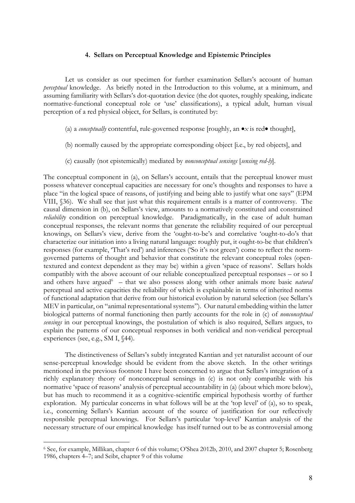### **4. Sellars on Perceptual Knowledge and Epistemic Principles**

Let us consider as our specimen for further examination Sellars's account of human *perceptual* knowledge. As briefly noted in the Introduction to this volume, at a minimum, and assuming familiarity with Sellars's dot-quotation device (the dot quotes, roughly speaking, indicate normative-functional conceptual role or 'use' classifications), a typical adult, human visual perception of a red physical object, for Sellars, is contituted by:

- (a) a *conceptually* contentful, rule-governed response [roughly, an •*x* is red• thought],
- (b) normally caused by the appropriate corresponding object [i.e., by red objects], and
- (c) causally (not epistemically) mediated by *nonconceptual sensings* [*sensing red-ly*].

The conceptual component in (a), on Sellars's account, entails that the perceptual knower must possess whatever conceptual capacities are necessary for one's thoughts and responses to have a place "in the logical space of reasons, of justifying and being able to justify what one says" (EPM VIII, §36). We shall see that just what this requirement entails is a matter of controversy. The causal dimension in (b), on Sellars's view, amounts to a normatively constituted and constrained reliability condition on perceptual knowledge. Paradigmatically, in the case of adult human conceptual responses, the relevant norms that generate the reliability required of our perceptual knowings, on Sellars's view, derive from the 'ought-to-be's and correlative 'ought-to-do's that characterize our initiation into a living natural language: roughly put, it ought-to-be that children's responses (for example, 'That's red') and inferences ('So it's not green') come to reflect the normgoverned patterns of thought and behavior that constitute the relevant conceptual roles (opentextured and context dependent as they may be) within a given 'space of reasons'. Sellars holds compatibly with the above account of our reliable conceptualized perceptual responses – or so I and others have argued<sup>6</sup> – that we also possess along with other animals more basic *natural* perceptual and active capacities the reliability of which is explainable in terms of inherited norms of functional adaptation that derive from our historical evolution by natural selection (see Sellars's MEV in particular, on "animal representational systems"). Our natural embedding within the latter biological patterns of normal functioning then partly accounts for the role in (c) of *nonconceptual sensings* in our perceptual knowings, the postulation of which is also required, Sellars argues, to explain the patterns of our conceptual responses in both veridical and non-veridical perceptual experiences (see, e.g., SM I, §44).

The distinctiveness of Sellars's subtly integrated Kantian and yet naturalist account of our sense-perceptual knowledge should be evident from the above sketch. In the other writings mentioned in the previous footnote I have been concerned to argue that Sellars's integration of a richly explanatory theory of nonconceptual sensings in (c) is not only compatible with his normative 'space of reasons' analysis of perceptual accountability in (a) (about which more below), but has much to recommend it as a cognitive-scientific empirical hypothesis worthy of further exploration. My particular concerns in what follows will be at the 'top level' of (a), so to speak, i.e., concerning Sellars's Kantian account of the source of justification for our reflectively responsible perceptual knowings. For Sellars's particular 'top-level' Kantian analysis of the necessary structure of our empirical knowledge has itself turned out to be as controversial among

<sup>6</sup> See, for example, Millikan, chapter 6 of this volume; O'Shea 2012b, 2010, and 2007 chapter 5; Rosenberg 1986, chapters 4–7; and Seibt, chapter 9 of this volume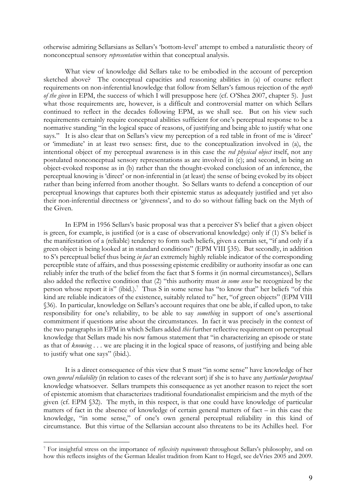otherwise admiring Sellarsians as Sellars's 'bottom-level' attempt to embed a naturalistic theory of nonconceptual sensory *representation* within that conceptual analysis.

What view of knowledge did Sellars take to be embodied in the account of perception sketched above? The conceptual capacities and reasoning abilities in (a) of course reflect requirements on non-inferential knowledge that follow from Sellars's famous rejection of the *myth of the given* in EPM, the success of which I will presuppose here (cf. O'Shea 2007, chapter 5). Just what those requirements are, however, is a difficult and controversial matter on which Sellars continued to reflect in the decades following EPM, as we shall see. But on his view such requirements certainly require conceptual abilities sufficient for one's perceptual response to be a normative standing "in the logical space of reasons, of justifying and being able to justify what one says." It is also clear that on Sellars's view my perception of a red table in front of me is 'direct' or 'immediate' in at least two senses: first, due to the conceptualization involved in (a), the intentional object of my perceptual awareness is in this case the *red physical object* itself, not any postulated nonconceptual sensory representations as are involved in (c); and second, in being an object-evoked response as in (b) rather than the thought-evoked conclusion of an inference, the perceptual knowing is 'direct' or non-inferential in (at least) the sense of being evoked by its object rather than being inferred from another thought. So Sellars wants to defend a conception of our perceptual knowings that captures both their epistemic status as adequately justified and yet also their non-inferential directness or 'givenness', and to do so without falling back on the Myth of the Given.

In EPM in 1956 Sellars's basic proposal was that a perceiver S's belief that a given object is green, for example, is justified (or is a case of observational knowledge) only if (1) S's belief is the manifestation of a (reliable) tendency to form such beliefs, given a certain set, "if and only if a green object is being looked at in standard conditions" (EPM VIII §35). But secondly, in addition to S's perceptual belief thus being *in fact* an extremely highly reliable indicator of the corresponding perceptible state of affairs, and thus possessing epistemic credibility or authority insofar as one can reliably infer the truth of the belief from the fact that S forms it (in normal circumstances), Sellars also added the reflective condition that (2) "this authority must *in some sense* be recognized by the person whose report it is" (ibid.).<sup>7</sup> Thus S in some sense has "to know that" her beliefs "of this kind are reliable indicators of the existence, suitably related to" her, "of green objects" (EPM VIII §36). In particular, knowledge on Sellars's account requires that one be able, if called upon, to take responsibility for one's reliability, to be able to say *something* in support of one's assertional commitment if questions arise about the circumstances. In fact it was precisely in the context of the two paragraphs in EPM in which Sellars added *this* further reflective requirement on perceptual knowledge that Sellars made his now famous statement that "in characterizing an episode or state as that of *knowing* . . . we are placing it in the logical space of reasons, of justifying and being able to justify what one says" (ibid.).

It is a direct consequence of this view that S must "in some sense" have knowledge of her own *general reliability* (in relation to cases of the relevant sort) if she is to have any *particular perceptual* knowledge whatsoever. Sellars trumpets this consequence as yet another reason to reject the sort of epistemic atomism that characterizes traditional foundationalist empiricism and the myth of the given (cf. EPM §32). The myth, in this respect, is that one could have knowledge of particular matters of fact in the absence of knowledge of certain general matters of fact – in this case the knowledge, "in some sense," of one's own general perceptual reliability in this kind of circumstance. But this virtue of the Sellarsian account also threatens to be its Achilles heel. For

<sup>7</sup> For insightful stress on the importance of *reflexivity requirements* throughout Sellars's philosophy, and on how this reflects insights of the German Idealist tradition from Kant to Hegel, see deVries 2005 and 2009.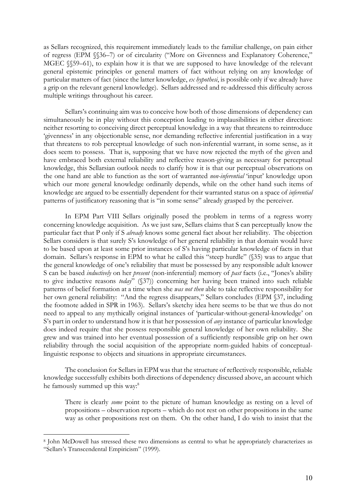as Sellars recognized, this requirement immediately leads to the familiar challenge, on pain either of regress (EPM §§36–7) or of circularity ("More on Givenness and Explanatory Coherence," MGEC  $\S$ 59–61), to explain how it is that we are supposed to have knowledge of the relevant general epistemic principles or general matters of fact without relying on any knowledge of particular matters of fact (since the latter knowledge, *ex hypothesi*, is possible only if we already have a grip on the relevant general knowledge). Sellars addressed and re-addressed this difficulty across multiple writings throughout his career.

Sellars's continuing aim was to conceive how both of those dimensions of dependency can simultaneously be in play without this conception leading to implausibilities in either direction: neither resorting to conceiving direct perceptual knowledge in a way that threatens to reintroduce 'givenness' in any objectionable sense, nor demanding reflective inferential justification in a way that threatens to rob perceptual knowledge of such non-inferential warrant, in some sense, as it does seem to possess. That is, supposing that we have now rejected the myth of the given and have embraced both external reliability and reflective reason-giving as necessary for perceptual knowledge, this Sellarsian outlook needs to clarify how it is that our perceptual observations on the one hand are able to function as the sort of warranted *non-inferential* 'input' knowledge upon which our more general knowledge ordinarily depends, while on the other hand such items of knowledge are argued to be essentially dependent for their warranted status on a space of *inferential* patterns of justificatory reasoning that is "in some sense" already grasped by the perceiver.

In EPM Part VIII Sellars originally posed the problem in terms of a regress worry concerning knowledge acquisition. As we just saw, Sellars claims that S can perceptually know the particular fact that P only if S *already* knows some general fact about her reliability. The objection Sellars considers is that surely S's knowledge of her general reliability in that domain would have to be based upon at least some prior instances of S's having particular knowledge of facts in that domain. Sellars's response in EPM to what he called this "steep hurdle" (§35) was to argue that the general knowledge of one's reliability that must be possessed by any responsible adult knower S can be based *inductively* on her *present* (non-inferential) memory of *past* facts (i.e., "Jones's ability to give inductive reasons *today*" (§37)) concerning her having been trained into such reliable patterns of belief formation at a time when she *was not then* able to take reflective responsibility for her own general reliability: "And the regress disappears," Sellars concludes (EPM §37, including the footnote added in SPR in 1963). Sellars's sketchy idea here seems to be that we thus do not need to appeal to any mythically original instances of 'particular-without-general-knowledge' on S's part in order to understand how it is that her possession of *any* instance of particular knowledge does indeed require that she possess responsible general knowledge of her own reliability. She grew and was trained into her eventual possession of a sufficiently responsible grip on her own reliability through the social acquisition of the appropriate norm-guided habits of conceptuallinguistic response to objects and situations in appropriate circumstances.

The conclusion for Sellars in EPM was that the structure of reflectively responsible, reliable knowledge successfully exhibits both directions of dependency discussed above, an account which he famously summed up this way:<sup>8</sup>

There is clearly *some* point to the picture of human knowledge as resting on a level of propositions – observation reports – which do not rest on other propositions in the same way as other propositions rest on them. On the other hand, I do wish to insist that the

<sup>8</sup> John McDowell has stressed these two dimensions as central to what he appropriately characterizes as "Sellars's Transcendental Empiricism" (1999).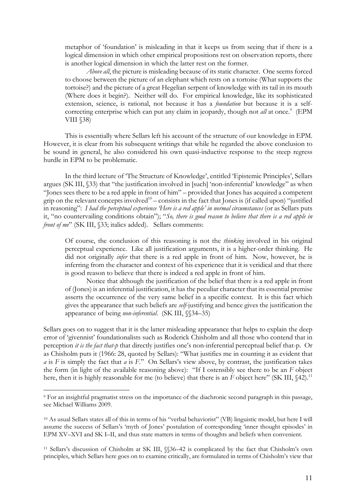metaphor of 'foundation' is misleading in that it keeps us from seeing that if there is a logical dimension in which other empirical propositions rest on observation reports, there is another logical dimension in which the latter rest on the former.

*Above all*, the picture is misleading because of its static character. One seems forced to choose between the picture of an elephant which rests on a tortoise (What supports the tortoise?) and the picture of a great Hegelian serpent of knowledge with its tail in its mouth (Where does it begin?). Neither will do. For empirical knowledge, like its sophisticated extension, science, is rational, not because it has a *foundation* but because it is a selfcorrecting enterprise which can put any claim in jeopardy, though not *all* at once.<sup>9</sup> (EPM VIII §38)

This is essentially where Sellars left his account of the structure of our knowledge in EPM. However, it is clear from his subsequent writings that while he regarded the above conclusion to be sound in general, he also considered his own quasi-inductive response to the steep regress hurdle in EPM to be problematic.

In the third lecture of 'The Structure of Knowledge', entitled 'Epistemic Principles', Sellars argues (SK III, §33) that "the justification involved in [such] 'non-inferential' knowledge" as when "Jones sees there to be a red apple in front of him" – provided that Jones has acquired a competent grip on the relevant concepts involved $10$  – consists in the fact that Jones is (if called upon) "justified in reasoning": *I had the perceptual experience 'Here is a red apple' in normal circumstances* (or as Sellars puts it, "no countervailing conditions obtain"); "*So, there is good reason to believe that there is a red apple in front of me*" (SK III, §33; italics added). Sellars comments:

Of course, the conclusion of this reasoning is not the *thinking* involved in his original perceptual experience. Like all justification arguments, it is a higher-order thinking. He did not originally *infer* that there is a red apple in front of him. Now, however, he is inferring from the character and context of his experience that it is veridical and that there is good reason to believe that there is indeed a red apple in front of him.

Notice that although the justification of the belief that there is a red apple in front of (Jones) is an inferential justification, it has the peculiar character that its essential premise asserts the occurrence of the very same belief in a specific context. It is this fact which gives the appearance that such beliefs are *self*-justifying and hence gives the justification the appearance of being *non-inferential*. (SK III, §§34–35)

Sellars goes on to suggest that it is the latter misleading appearance that helps to explain the deep error of 'givennist' foundationalists such as Roderick Chisholm and all those who contend that in perception *it is the fact that-p* that directly justifies one's non-inferential perceptual belief that-p. Or as Chisholm puts it (1966: 28, quoted by Sellars): "What justifies me in counting it as evident that *a* is *F* is simply the fact that *a* is *F*." On Sellars's view above, by contrast, the justification takes the form (in light of the available reasoning above): "If I ostensibly see there to be an *F* object here, then it is highly reasonable for me (to believe) that there is an *F* object here" (SK III,  $\S$ 42).<sup>11</sup>

<sup>9</sup> For an insightful pragmatist stress on the importance of the diachronic second paragraph in this passage, see Michael Williams 2009.

<sup>10</sup> As usual Sellars states all of this in terms of his "verbal behaviorist" (VB) linguistic model, but here I will assume the success of Sellars's 'myth of Jones' postulation of corresponding 'inner thought episodes' in EPM XV–XVI and SK I–II, and thus state matters in terms of thoughts and beliefs when convenient.

<sup>11</sup> Sellars's discussion of Chisholm at SK III, §§36–42 is complicated by the fact that Chisholm's own principles, which Sellars here goes on to examine critically, are formulated in terms of Chisholm's view that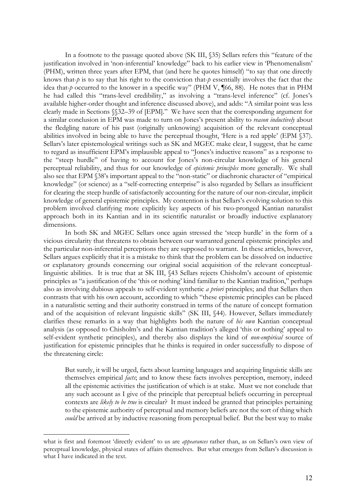In a footnote to the passage quoted above (SK III, §35) Sellars refers this "feature of the justification involved in 'non-inferential' knowledge" back to his earlier view in 'Phenomenalism' (PHM), written three years after EPM, that (and here he quotes himself) "to say that one directly knows that-*p* is to say that his right to the conviction that-*p* essentially involves the fact that the idea that-*p* occurred to the knower in a specific way" (PHM V, ¶66, 88). He notes that in PHM he had called this "trans-level credibility," as involving a "trans-level inference" (cf. Jones's available higher-order thought and inference discussed above), and adds: "A similar point was less clearly made in Sections §§32–39 of [EPM]." We have seen that the corresponding argument for a similar conclusion in EPM was made to turn on Jones's present ability to *reason inductively* about the fledgling nature of his past (originally unknowing) acquisition of the relevant conceptual abilities involved in being able to have the perceptual thought, 'Here is a red apple' (EPM §37). Sellars's later epistemological writings such as SK and MGEC make clear, I suggest, that he came to regard as insufficient EPM's implausible appeal to "Jones's inductive reasons" as a response to the "steep hurdle" of having to account for Jones's non-circular knowledge of his general perceptual reliability, and thus for our knowledge of *epistemic principles* more generally. We shall also see that EPM §38's important appeal to the "non-static" or diachronic character of "empirical knowledge" (or science) as a "self-correcting enterprise" is also regarded by Sellars as insufficient for clearing the steep hurdle of satisfactorily accounting for the nature of our non-circular, implicit knowledge of general epistemic principles. My contention is that Sellars's evolving solution to this problem involved clarifying more explicitly key aspects of his two-pronged Kantian naturalist approach both in its Kantian and in its scientific naturalist or broadly inductive explanatory dimensions.

In both SK and MGEC Sellars once again stressed the 'steep hurdle' in the form of a vicious circularity that threatens to obtain between our warranted general epistemic principles and the particular non-inferential perceptions they are supposed to warrant. In these articles, however, Sellars argues explicitly that it is a mistake to think that the problem can be dissolved on inductive or explanatory grounds concerning our original social acquisition of the relevant conceptuallinguistic abilities. It is true that at SK III, §43 Sellars rejects Chisholm's account of epistemic principles as "a justification of the 'this or nothing' kind familiar to the Kantian tradition," perhaps also as involving dubious appeals to self-evident synthetic *a priori* principles; and that Sellars then contrasts that with his own account, according to which "these epistemic principles can be placed in a naturalistic setting and their authority construed in terms of the nature of concept formation and of the acquisition of relevant linguistic skills" (SK III, §44). However, Sellars immediately clarifies these remarks in a way that highlights both the nature of *his own* Kantian conceptual analysis (as opposed to Chisholm's and the Kantian tradition's alleged 'this or nothing' appeal to self-evident synthetic principles), and thereby also displays the kind of *non-empirical* source of justification for epistemic principles that he thinks is required in order successfully to dispose of the threatening circle:

But surely, it will be urged, facts about learning languages and acquiring linguistic skills are themselves empirical *facts*; and to know these facts involves perception, memory, indeed all the epistemic activities the justification of which is at stake. Must we not conclude that any such account as I give of the principle that perceptual beliefs occurring in perceptual contexts are *likely to be true* is circular? It must indeed be granted that principles pertaining to the epistemic authority of perceptual and memory beliefs are not the sort of thing which *could* be arrived at by inductive reasoning from perceptual belief. But the best way to make

what is first and foremost 'directly evident' to us are *appearances* rather than, as on Sellars's own view of perceptual knowledge, physical states of affairs themselves. But what emerges from Sellars's discussion is what I have indicated in the text.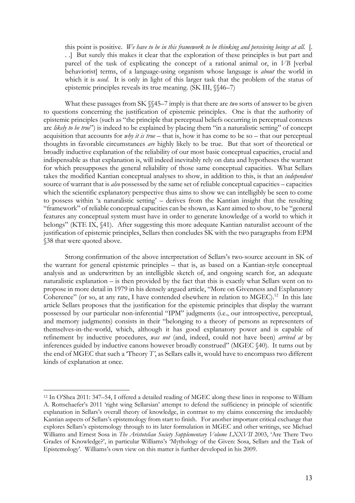this point is positive. *We have to be in this framework to be thinking and perceiving beings at all.* [. . .] But surely this makes it clear that the exploration of these principles is but part and parcel of the task of explicating the concept of a rational animal or, in *VB* [verbal behaviorist] terms, of a language-using organism whose language is *about* the world in which it is *used*. It is only in light of this larger task that the problem of the status of epistemic principles reveals its true meaning. (SK III, §§46–7)

What these passages from SK  $\sqrt{\ }45-7$  imply is that there are *two* sorts of answer to be given to questions concerning the justification of epistemic principles. One is that the authority of epistemic principles (such as "the principle that perceptual beliefs occurring in perceptual contexts are *likely to be true*") is indeed to be explained by placing them "in a naturalistic setting" of concept acquisition that accounts for *why it is true* – that is, how it has come to be so – that our perceptual thoughts in favorable circumstances *are* highly likely to be true. But that sort of theoretical or broadly inductive explanation of the reliability of our most basic conceptual capacities, crucial and indispensable as that explanation is, will indeed inevitably rely on data and hypotheses the warrant for which presupposes the general reliability of those same conceptual capacities. What Sellars takes the modified Kantian conceptual analyses to show, in addition to this, is that an *independent* source of warrant that is *also* possessed by the same set of reliable conceptual capacities – capacities which the scientific explanatory perspective thus aims to show we can intelligibly be seen to come to possess within 'a naturalistic setting' – derives from the Kantian insight that the resulting "framework" of reliable conceptual capacities can be shown, as Kant aimed to show, to be "general features any conceptual system must have in order to generate knowledge of a world to which it belongs" (KTE IX, §41). After suggesting this more adequate Kantian naturalist account of the justification of epistemic principles, Sellars then concludes SK with the two paragraphs from EPM §38 that were quoted above.

Strong confirmation of the above interpretation of Sellars's two-source account in SK of the warrant for general epistemic principles – that is, as based on a Kantian-style conceptual analysis and as underwritten by an intelligible sketch of, and ongoing search for, an adequate naturalistic explanation – is then provided by the fact that this is exactly what Sellars went on to propose in more detail in 1979 in his densely argued article, "More on Givenness and Explanatory Coherence" (or so, at any rate, I have contended elsewhere in relation to MGEC).<sup>12</sup> In this late article Sellars proposes that the justification for the epistemic principles that display the warrant possessed by our particular non-inferential "IPM" judgments (i.e., our introspective, perceptual, and memory judgments) consists in their "belonging to a theory of persons as representers of themselves-in-the-world, which, although it has good explanatory power and is capable of refinement by inductive procedures, *was not* (and, indeed, could not have been) *arrived at* by inferences guided by inductive canons however broadly construed" (MGEC §40). It turns out by the end of MGEC that such a 'Theory *T'*, as Sellars calls it, would have to encompass two different kinds of explanation at once.

<sup>12</sup> In O'Shea 2011: 347–54, I offered a detailed reading of MGEC along these lines in response to William A. Rottschaefer's 2011 'right wing Sellarsian' attempt to defend the sufficiency in principle of scientific explanation in Sellars's overall theory of knowledge, in contrast to my claims concerning the irreducibly Kantian aspects of Sellars's epistemology from start to finish. For another important critical exchange that explores Sellars's epistemology through to its later formulation in MGEC and other writings, see Michael Williams and Ernest Sosa in *The Aristotelian Society Supplementary Volume LXXVII* 2003, 'Are There Two Grades of Knowledge?', in particular Williams's 'Mythology of the Given: Sosa, Sellars and the Task of Epistemology'. Williams's own view on this matter is further developed in his 2009.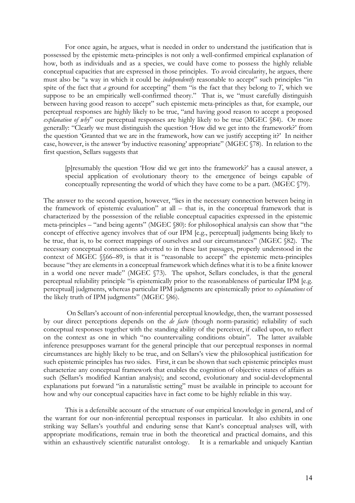For once again, he argues, what is needed in order to understand the justification that is possessed by the epistemic meta-principles is not only a well-confirmed empirical explanation of how, both as individuals and as a species, we could have come to possess the highly reliable conceptual capacities that are expressed in those principles. To avoid circularity, he argues, there must also be "a way in which it could be *independently* reasonable to accept" such principles "in spite of the fact that *a* ground for accepting" them  $\dddot{a}$  is the fact that they belong to *T*, which we suppose to be an empirically well-confirmed theory." That is, we "must carefully distinguish between having good reason to accept" such epistemic meta-principles as that, for example, our perceptual responses are highly likely to be true, "and having good reason to accept a proposed *explanation of why*" our perceptual responses are highly likely to be true (MGEC §84). Or more generally: "Clearly we must distinguish the question 'How did we get into the framework?' from the question 'Granted that we are in the framework, how can we justify accepting it?' In neither case, however, is the answer 'by inductive reasoning' appropriate" (MGEC §78). In relation to the first question, Sellars suggests that

[p]resumably the question 'How did we get into the framework?' has a causal answer, a special application of evolutionary theory to the emergence of beings capable of conceptually representing the world of which they have come to be a part. (MGEC §79).

The answer to the second question, however, "lies in the necessary connection between being in the framework of epistemic evaluation" at all – that is, in the conceptual framework that is characterized by the possession of the reliable conceptual capacities expressed in the epistemic meta-principles – "and being agents" (MGEC §80): for philosophical analysis can show that "the concept of effective agency involves that of our IPM [e.g., perceptual] judgments being likely to be true, that is, to be correct mappings of ourselves and our circumstances" (MGEC §82). The necessary conceptual connections adverted to in these last passages, properly understood in the context of MGEC  $\{\$66-89\}$ , is that it is "reasonable to accept" the epistemic meta-principles because "they are elements in a conceptual framework which defines what it is to be a finite knower in a world one never made" (MGEC §73). The upshot, Sellars concludes, is that the general perceptual reliability principle "is epistemically prior to the reasonableness of particular IPM [e.g. perceptual] judgments, whereas particular IPM judgments are epistemically prior to *explanations* of the likely truth of IPM judgments" (MGEC §86).

On Sellars's account of non-inferential perceptual knowledge, then, the warrant possessed by our direct perceptions depends on the *de facto* (though norm-parasitic) reliability of such conceptual responses together with the standing ability of the perceiver, if called upon, to reflect on the context as one in which "no countervailing conditions obtain". The latter available inference presupposes warrant for the general principle that our perceptual responses in normal circumstances are highly likely to be true, and on Sellars's view the philosophical justification for such epistemic principles has two sides. First, it can be shown that such epistemic principles must characterize any conceptual framework that enables the cognition of objective states of affairs as such (Sellars's modified Kantian analysis); and second, evolutionary and social-developmental explanations put forward "in a naturalistic setting" must be available in principle to account for how and why our conceptual capacities have in fact come to be highly reliable in this way.

This is a defensible account of the structure of our empirical knowledge in general, and of the warrant for our non-inferential perceptual responses in particular. It also exhibits in one striking way Sellars's youthful and enduring sense that Kant's conceptual analyses will, with appropriate modifications, remain true in both the theoretical and practical domains, and this within an exhaustively scientific naturalist ontology. It is a remarkable and uniquely Kantian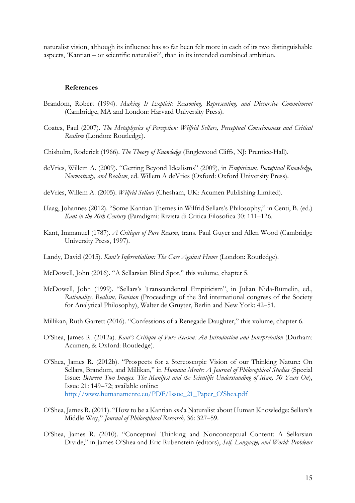naturalist vision, although its influence has so far been felt more in each of its two distinguishable aspects, 'Kantian – or scientific naturalist?', than in its intended combined ambition.

### **References**

- Brandom, Robert (1994). *Making It Explicit: Reasoning, Representing, and Discursive Commitment*  (Cambridge, MA and London: Harvard University Press).
- Coates, Paul (2007). *The Metaphysics of Perception: Wilfrid Sellars, Perceptual Consciousness and Critical Realism* (London: Routledge).
- Chisholm, Roderick (1966). *The Theory of Knowledge* (Englewood Cliffs, NJ: Prentice-Hall).
- deVries, Willem A. (2009). "Getting Beyond Idealisms" (2009), in *Empiricism, Perceptual Knowledge, Normativity, and Realism*, ed. Willem A deVries (Oxford: Oxford University Press).
- deVries, Willem A. (2005). *Wilfrid Sellars* (Chesham, UK: Acumen Publishing Limited).
- Haag, Johannes (2012). "Some Kantian Themes in Wilfrid Sellars's Philosophy," in Centi, B. (ed.) *Kant in the 20th Century* (Paradigmi: Rivista di Critica Filosofica 30: 111–126.
- Kant, Immanuel (1787). *A Critique of Pure Reason*, trans. Paul Guyer and Allen Wood (Cambridge University Press, 1997).
- Landy, David (2015). *Kant's Inferentialism: The Case Against Hume* (London: Routledge).
- McDowell, John (2016). "A Sellarsian Blind Spot," this volume, chapter 5.
- McDowell, John (1999). "Sellars's Transcendental Empiricism", in Julian Nida-Rümelin, ed., *Rationality, Realism, Revision* (Proceedings of the 3rd international congress of the Society for Analytical Philosophy), Walter de Gruyter, Berlin and New York: 42–51.
- Millikan, Ruth Garrett (2016). "Confessions of a Renegade Daughter," this volume, chapter 6.
- O'Shea, James R. (2012a). *Kant's Critique of Pure Reason: An Introduction and Interpretation* (Durham: Acumen, & Oxford: Routledge).
- O'Shea, James R. (2012b). "Prospects for a Stereoscopic Vision of our Thinking Nature: On Sellars, Brandom, and Millikan," in *Humana Mente: A Journal of Philosophical Studies* (Special Issue: *Between Two Images. The Manifest and the Scientific Understanding of Man, 50 Years On*), Issue 21: 149–72; available online: http://www.humanamente.eu/PDF/Issue\_21\_Paper\_O'Shea.pdf
- O'Shea, James R. (2011). "How to be a Kantian *and* a Naturalist about Human Knowledge: Sellars's Middle Way," *Journal of Philosophical Research,* 36: 327–59.
- O'Shea, James R. (2010). "Conceptual Thinking and Nonconceptual Content: A Sellarsian Divide," in James O'Shea and Eric Rubenstein (editors), *Self, Language, and World: Problems*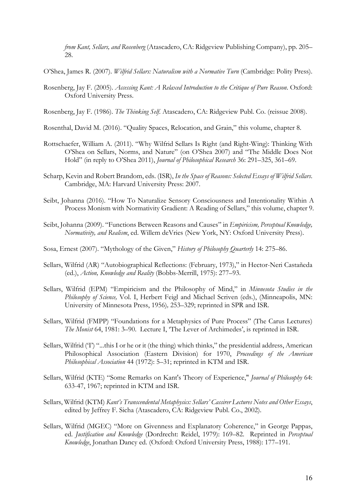*from Kant, Sellars, and Rosenberg* (Atascadero, CA: Ridgeview Publishing Company), pp. 205– 28.

O'Shea, James R. (2007). *Wilfrid Sellars: Naturalism with a Normative Turn* (Cambridge: Polity Press).

Rosenberg, Jay F. (2005). *Accessing Kant: A Relaxed Introduction to the Critique of Pure Reason*. Oxford: Oxford University Press.

Rosenberg, Jay F. (1986). *The Thinking Self*. Atascadero, CA: Ridgeview Publ. Co. (reissue 2008).

- Rosenthal, David M. (2016). "Quality Spaces, Relocation, and Grain," this volume, chapter 8.
- Rottschaefer, William A. (2011). "Why Wilfrid Sellars Is Right (and Right-Wing): Thinking With O'Shea on Sellars, Norms, and Nature" (on O'Shea 2007) and "The Middle Does Not Hold" (in reply to O'Shea 2011), *Journal of Philosophical Research* 36: 291–325, 361–69.
- Scharp, Kevin and Robert Brandom, eds. (ISR), *In the Space of Reasons: Selected Essays of Wilfrid Sellars*. Cambridge, MA: Harvard University Press: 2007.
- Seibt, Johanna (2016). "How To Naturalize Sensory Consciousness and Intentionality Within A Process Monism with Normativity Gradient: A Reading of Sellars," this volume, chapter 9.
- Seibt, Johanna (2009). "Functions Between Reasons and Causes" in *Empiricism, Perceptual Knowledge, Normativity, and Realism*, ed. Willem deVries (New York, NY: Oxford University Press).
- Sosa, Ernest (2007). "Mythology of the Given," *History of Philosophy Quarterly* 14: 275–86.
- Sellars, Wilfrid (AR) "Autobiographical Reflections: (February, 1973)," in Hector-Neri Castañeda (ed.), *Action, Knowledge and Reality* (Bobbs-Merrill, 1975): 277–93.
- Sellars, Wilfrid (EPM) "Empiricism and the Philosophy of Mind," in *Minnesota Studies in the Philosophy of Science,* Vol. I, Herbert Feigl and Michael Scriven (eds.), (Minneapolis, MN: University of Minnesota Press, 1956)*,* 253–329; reprinted in SPR and ISR.
- Sellars, Wilfrid (FMPP) "Foundations for a Metaphysics of Pure Process" (The Carus Lectures) *The Monist* 64, 1981: 3–90. Lecture I, 'The Lever of Archimedes', is reprinted in ISR.
- Sellars, Wilfrid ('I') "...this I or he or it (the thing) which thinks," the presidential address, American Philosophical Association (Eastern Division) for 1970, *Proceedings of the American Philosophical Association* 44 (1972): 5–31; reprinted in KTM and ISR.
- Sellars, Wilfrid (KTE) "Some Remarks on Kant's Theory of Experience," *Journal of Philosophy* 64: 633-47, 1967; reprinted in KTM and ISR.
- Sellars, Wilfrid (KTM) *Kant's Transcendental Metaphysics: Sellars' Cassirer Lectures Notes and Other Essays*, edited by Jeffrey F. Sicha (Atascadero, CA: Ridgeview Publ. Co., 2002).
- Sellars, Wilfrid (MGEC) "More on Givenness and Explanatory Coherence," in George Pappas, ed. *Justification and Knowledge* (Dordrecht: Reidel, 1979): 169–82. Reprinted in *Perceptual Knowledge*, Jonathan Dancy ed. (Oxford: Oxford University Press, 1988): 177–191.